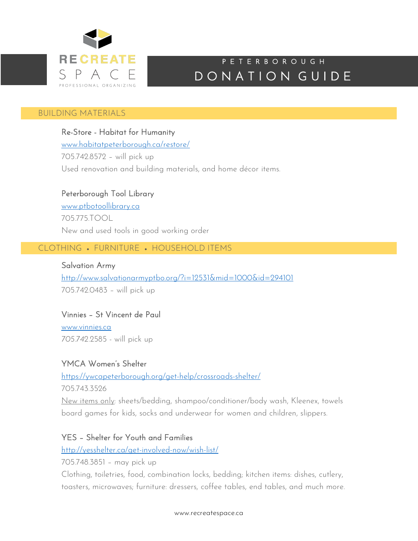

## DONATION GUIDE P E T E R B O R O U G H

#### I BUILDING MATERIALS

Re-Store - Habitat for Humanity www.habitatpeterborough.ca/restore/ 705.742.8572 – will pick up Used renovation and building materials, and home décor items.

## Peterborough Tool Library

www.ptbotoollibrary.ca 705.775.TOOL New and used tools in good working order

# CLOTHING • FURNITURE • HOUSEHOLD ITEMS

Salvation Army http://www.salvationarmyptbo.org/?i=12531&mid=1000&id=294101 705.742.0483 – will pick up

## Vinnies – St Vincent de Paul

www.vinnies.ca *705.742.*2585 - will pick up

## YMCA Women's Shelter

https://ywcapeterborough.org/get-help/crossroads-shelter/

705.743.3526

New items only: sheets/bedding, shampoo/conditioner/body wash, Kleenex, towels board games for kids, socks and underwear for women and children, slippers.

## YES – Shelter for Youth and Families

http://yesshelter.ca/get-involved-now/wish-list/

705.748.3851 – may pick up

Clothing, toiletries, food, combination locks, bedding; kitchen items: dishes, cutlery, toasters, microwaves; furniture: dressers, coffee tables, end tables, and much more.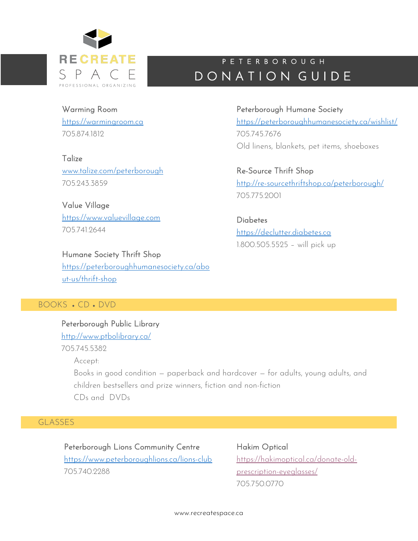

## DONATION GUIDE P E T E R B O R O U G H

Peterborough Humane Society

Warming Room https://warmingroom.ca 705.874.1812

**Talize** 

www.talize.com/peterborough 705.243.3859

Value Village https://www.valuevillage.com 7057419644

## Humane Society Thrift Shop

https://peterboroughhumanesociety.ca/abo ut-us/thrift-shop

## BOOKS • CD • DVD

Peterborough Public Library http://www.ptbolibrary.ca/ 705.745.5382 Accept: Books in good condition — paperback and hardcover — for adults, young adults, and children bestsellers and prize winners, fiction and non-fiction CDs and DVDs

## GLASSES

Peterborough Lions Community Centre https://www.peterboroughlions.ca/lions-club 705.740.2288

Hakim Optical https://hakimoptical.ca/donate-oldprescription-eyeglasses/ 705.750.0770

www.recreatespace.ca

https://peterboroughhumanesociety.ca/wishlist/ 705.745.7676 Old linens, blankets, pet items, shoeboxes

Re-Source Thrift Shop http://re-sourcethriftshop.ca/peterborough/ 705.775.2001

**Diabetes** https://declutter.diabetes.ca 1.800.505.5525 – will pick up